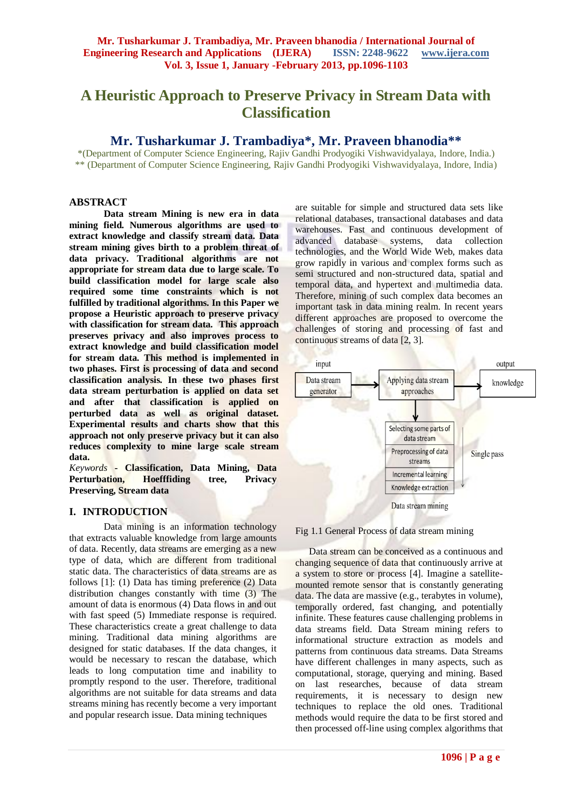# **A Heuristic Approach to Preserve Privacy in Stream Data with Classification**

# **Mr. Tusharkumar J. Trambadiya\*, Mr. Praveen bhanodia\*\***

\*(Department of Computer Science Engineering, Rajiv Gandhi Prodyogiki Vishwavidyalaya, Indore, India.) \*\* (Department of Computer Science Engineering, Rajiv Gandhi Prodyogiki Vishwavidyalaya, Indore, India)

#### **ABSTRACT**

**Data stream Mining is new era in data mining field. Numerous algorithms are used to extract knowledge and classify stream data. Data stream mining gives birth to a problem threat of data privacy. Traditional algorithms are not appropriate for stream data due to large scale. To build classification model for large scale also required some time constraints which is not fulfilled by traditional algorithms. In this Paper we propose a Heuristic approach to preserve privacy with classification for stream data. This approach preserves privacy and also improves process to extract knowledge and build classification model for stream data. This method is implemented in two phases. First is processing of data and second classification analysis. In these two phases first data stream perturbation is applied on data set and after that classification is applied on perturbed data as well as original dataset. Experimental results and charts show that this approach not only preserve privacy but it can also reduces complexity to mine large scale stream data.**

*Keywords* **- Classification, Data Mining, Data Perturbation, Hoefffiding tree, Privacy Preserving, Stream data**

## **I. INTRODUCTION**

Data mining is an information technology that extracts valuable knowledge from large amounts of data. Recently, data streams are emerging as a new type of data, which are different from traditional static data. The characteristics of data streams are as follows [1]: (1) Data has timing preference (2) Data distribution changes constantly with time (3) The amount of data is enormous (4) Data flows in and out with fast speed (5) Immediate response is required. These characteristics create a great challenge to data mining. Traditional data mining algorithms are designed for static databases. If the data changes, it would be necessary to rescan the database, which leads to long computation time and inability to promptly respond to the user. Therefore, traditional algorithms are not suitable for data streams and data streams mining has recently become a very important and popular research issue. Data mining techniques

are suitable for simple and structured data sets like relational databases, transactional databases and data warehouses. Fast and continuous development of advanced database systems, data collection technologies, and the World Wide Web, makes data grow rapidly in various and complex forms such as semi structured and non-structured data, spatial and temporal data, and hypertext and multimedia data. Therefore, mining of such complex data becomes an important task in data mining realm. In recent years different approaches are proposed to overcome the challenges of storing and processing of fast and continuous streams of data [2, 3].



#### Fig 1.1 General Process of data stream mining

Data stream can be conceived as a continuous and changing sequence of data that continuously arrive at a system to store or process [4]. Imagine a satellitemounted remote sensor that is constantly generating data. The data are massive (e.g., terabytes in volume), temporally ordered, fast changing, and potentially infinite. These features cause challenging problems in data streams field. Data Stream mining refers to informational structure extraction as models and patterns from continuous data streams. Data Streams have different challenges in many aspects, such as computational, storage, querying and mining. Based on last researches, because of data stream requirements, it is necessary to design new techniques to replace the old ones. Traditional methods would require the data to be first stored and then processed off-line using complex algorithms that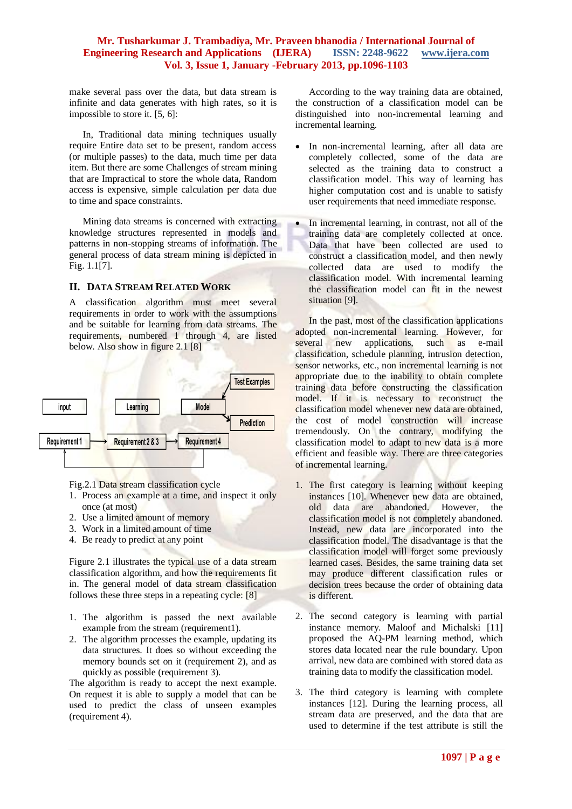make several pass over the data, but data stream is infinite and data generates with high rates, so it is impossible to store it. [5, 6]:

In, Traditional data mining techniques usually require Entire data set to be present, random access (or multiple passes) to the data, much time per data item. But there are some Challenges of stream mining that are Impractical to store the whole data, Random access is expensive, simple calculation per data due to time and space constraints.

Mining data streams is concerned with extracting knowledge structures represented in models and patterns in non-stopping streams of information. The general process of data stream mining is depicted in Fig. 1.1[7].

#### **II. DATA STREAM RELATED WORK**

A classification algorithm must meet several requirements in order to work with the assumptions and be suitable for learning from data streams. The requirements, numbered 1 through 4, are listed below. Also show in figure 2.1 [8]



Fig.2.1 Data stream classification cycle

- 1. Process an example at a time, and inspect it only once (at most)
- 2. Use a limited amount of memory
- 3. Work in a limited amount of time
- 4. Be ready to predict at any point

Figure 2.1 illustrates the typical use of a data stream classification algorithm, and how the requirements fit in. The general model of data stream classification follows these three steps in a repeating cycle: [8]

- 1. The algorithm is passed the next available example from the stream (requirement1).
- 2. The algorithm processes the example, updating its data structures. It does so without exceeding the memory bounds set on it (requirement 2), and as quickly as possible (requirement 3).

The algorithm is ready to accept the next example. On request it is able to supply a model that can be used to predict the class of unseen examples (requirement 4).

According to the way training data are obtained, the construction of a classification model can be distinguished into non-incremental learning and incremental learning.

- In non-incremental learning, after all data are completely collected, some of the data are selected as the training data to construct a classification model. This way of learning has higher computation cost and is unable to satisfy user requirements that need immediate response.
- In incremental learning, in contrast, not all of the training data are completely collected at once. Data that have been collected are used to construct a classification model, and then newly collected data are used to modify the classification model. With incremental learning the classification model can fit in the newest situation [9].

In the past, most of the classification applications adopted non-incremental learning. However, for several new applications, such as e-mail classification, schedule planning, intrusion detection, sensor networks, etc., non incremental learning is not appropriate due to the inability to obtain complete training data before constructing the classification model. If it is necessary to reconstruct the classification model whenever new data are obtained, the cost of model construction will increase tremendously. On the contrary, modifying the classification model to adapt to new data is a more efficient and feasible way. There are three categories of incremental learning.

- 1. The first category is learning without keeping instances [10]. Whenever new data are obtained, old data are abandoned. However, the classification model is not completely abandoned. Instead, new data are incorporated into the classification model. The disadvantage is that the classification model will forget some previously learned cases. Besides, the same training data set may produce different classification rules or decision trees because the order of obtaining data is different.
- 2. The second category is learning with partial instance memory. Maloof and Michalski [11] proposed the AQ-PM learning method, which stores data located near the rule boundary. Upon arrival, new data are combined with stored data as training data to modify the classification model.
- 3. The third category is learning with complete instances [12]. During the learning process, all stream data are preserved, and the data that are used to determine if the test attribute is still the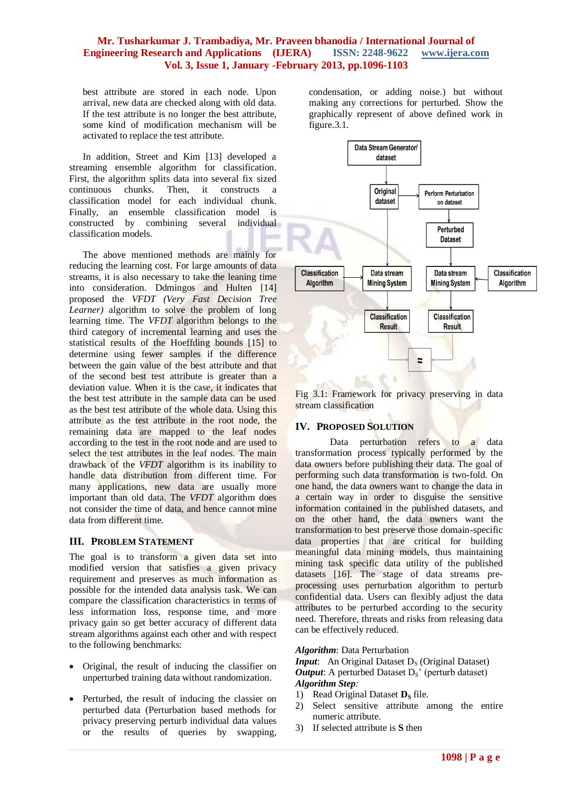best attribute are stored in each node. Upon arrival, new data are checked along with old data. If the test attribute is no longer the best attribute, some kind of modification mechanism will be activated to replace the test attribute.

In addition, Street and Kim [13] developed a streaming ensemble algorithm for classification. First, the algorithm splits data into several fix sized continuous chunks. Then, it constructs a classification model for each individual chunk. Finally, an ensemble classification model is constructed by combining several individual classification models.

The above mentioned methods are mainly for reducing the learning cost. For large amounts of data streams, it is also necessary to take the leaning time into consideration. Ddmingos and Hulten [14] proposed the *VFDT (Very Fast Decision Tree Learner*) algorithm to solve the problem of long learning time. The *VFDT* algorithm belongs to the third category of incremental learning and uses the statistical results of the Hoeffding bounds [15] to determine using fewer samples if the difference between the gain value of the best attribute and that of the second best test attribute is greater than a deviation value. When it is the case, it indicates that the best test attribute in the sample data can be used as the best test attribute of the whole data. Using this attribute as the test attribute in the root node, the remaining data are mapped to the leaf nodes according to the test in the root node and are used to select the test attributes in the leaf nodes. The main drawback of the *VFDT* algorithm is its inability to handle data distribution from different time. For many applications, new data are usually more important than old data. The *VFDT* algorithm does not consider the time of data, and hence cannot mine data from different time.

## **III. PROBLEM STATEMENT**

The goal is to transform a given data set into modified version that satisfies a given privacy requirement and preserves as much information as possible for the intended data analysis task. We can compare the classification characteristics in terms of less information loss, response time, and more privacy gain so get better accuracy of different data stream algorithms against each other and with respect to the following benchmarks:

- Original, the result of inducing the classifier on unperturbed training data without randomization.
- Perturbed, the result of inducing the classier on perturbed data (Perturbation based methods for privacy preserving perturb individual data values or the results of queries by swapping,

condensation, or adding noise.) but without making any corrections for perturbed. Show the graphically represent of above defined work in figure.3.1.



Fig 3.1: Framework for privacy preserving in data stream classification

## **IV. PROPOSED SOLUTION**

Data perturbation refers to a data transformation process typically performed by the data owners before publishing their data. The goal of performing such data transformation is two-fold. On one hand, the data owners want to change the data in a certain way in order to disguise the sensitive information contained in the published datasets, and on the other hand, the data owners want the transformation to best preserve those domain-specific data properties that are critical for building meaningful data mining models, thus maintaining mining task specific data utility of the published datasets [16]. The stage of data streams preprocessing uses perturbation algorithm to perturb confidential data. Users can flexibly adjust the data attributes to be perturbed according to the security need. Therefore, threats and risks from releasing data can be effectively reduced.

#### *Algorithm*: Data Perturbation

*Input*: An Original Dataset D<sub>S</sub> (Original Dataset) *Output*: A perturbed Dataset  $D_s'$  (perturb dataset) *Algorithm Step:*

- 1) Read Original Dataset **D**<sub>S</sub> file.
- 2) Select sensitive attribute among the entire numeric attribute.
- 3) If selected attribute is **S** then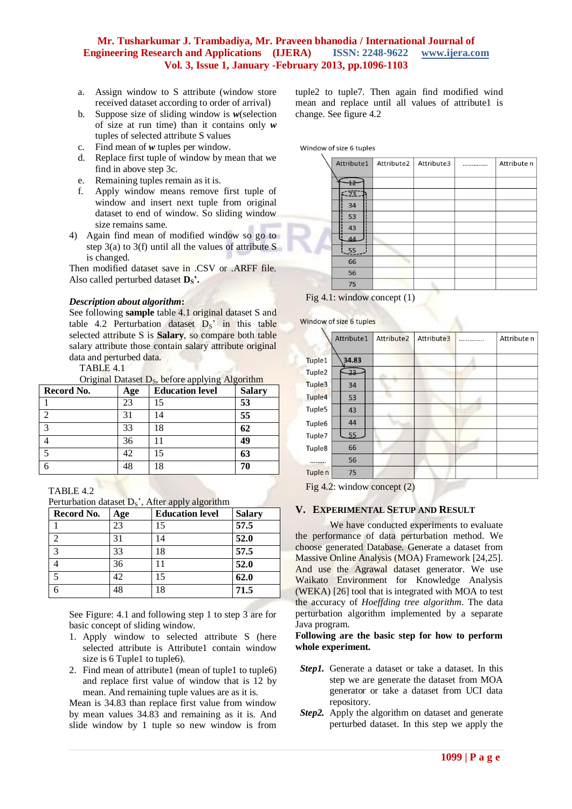- a. Assign window to S attribute (window store received dataset according to order of arrival)
- b. Suppose size of sliding window is *w*(selection of size at run time) than it contains only *w* tuples of selected attribute S values
- c. Find mean of *w* tuples per window.
- d. Replace first tuple of window by mean that we find in above step 3c.
- e. Remaining tuples remain as it is.
- f. Apply window means remove first tuple of window and insert next tuple from original dataset to end of window. So sliding window size remains same.
- 4) Again find mean of modified window so go to step 3(a) to 3(f) until all the values of attribute S is changed.

Then modified dataset save in .CSV or .ARFF file. Also called perturbed dataset **DS'.**

#### *Description about algorithm***:**

See following **sample** table 4.1 original dataset S and table 4.2 Perturbation dataset  $D_s$ ' in this table selected attribute S is **Salary**, so compare both table salary attribute those contain salary attribute original data and perturbed data.

TABLE 4.1

Original Dataset  $D_s$ , before applying Algorithm

| Record No.        | Age | <b>Education level</b> | <b>Salary</b> |
|-------------------|-----|------------------------|---------------|
|                   | 23  |                        | 53            |
| ി                 | 31  | 14                     | 55            |
| $\mathbf{\Omega}$ | 33  | 18                     | 62            |
|                   | 36  |                        | 49            |
|                   | 42  | 15                     | 63            |
|                   | 48  | 18                     | 70            |

TABLE 4.2

Perturbation dataset  $D_s$ <sup>2</sup>, After apply algorithm

| Record No.    | Age | <b>Education level</b> | <b>Salary</b> |
|---------------|-----|------------------------|---------------|
|               | 23  | 15                     | 57.5          |
|               | 31  | 14                     | 52.0          |
| $\mathcal{R}$ | 33  | 18                     | 57.5          |
|               | 36  | 11                     | 52.0          |
|               | 42  | 15                     | 62.0          |
|               | 48  | 18                     | 71.5          |

See Figure: 4.1 and following step 1 to step 3 are for basic concept of sliding window.

- 1. Apply window to selected attribute S (here selected attribute is Attribute1 contain window size is 6 Tuple1 to tuple6).
- 2. Find mean of attribute1 (mean of tuple1 to tuple6) and replace first value of window that is 12 by mean. And remaining tuple values are as it is.

Mean is 34.83 than replace first value from window by mean values 34.83 and remaining as it is. And slide window by 1 tuple so new window is from

tuple2 to tuple7. Then again find modified wind mean and replace until all values of attribute1 is change. See figure 4.2

Window of size 6 tuples

| Attribute1      | Attribute2 | Attribute3 | <br>Attribute n |
|-----------------|------------|------------|-----------------|
|                 |            |            |                 |
| $\overline{+2}$ |            |            |                 |
| 523             |            |            |                 |
| 34              |            |            |                 |
| 53              |            |            |                 |
| 43              |            |            |                 |
| 44              |            |            |                 |
| 55              |            |            |                 |
| 66              |            |            |                 |
| 56              |            |            |                 |
| 75              |            |            |                 |

Fig 4.1: window concept (1)

Window of size 6 tuples

|                    | Attribute1 | Attribute2 | Attribute3 | Attribute n |
|--------------------|------------|------------|------------|-------------|
|                    |            |            |            |             |
| Tuple1             | 34.83      |            |            |             |
| Tuple <sub>2</sub> | $-23$      |            |            |             |
| Tuple3             | 34         |            |            |             |
| Tuple4             | 53         |            |            |             |
| Tuple5             | 43         |            |            |             |
| Tuple6             | 44         |            |            |             |
| Tuple7             | 55         |            |            |             |
| Tuple8             | 66         |            |            |             |
|                    | 56         |            |            |             |
| Tuple <sub>n</sub> | 75         |            |            |             |
|                    |            |            |            |             |

Fig 4.2: window concept (2)

#### **V. EXPERIMENTAL SETUP AND RESULT**

We have conducted experiments to evaluate the performance of data perturbation method. We choose generated Database. Generate a dataset from Massive Online Analysis (MOA) Framework [24,25]. And use the Agrawal dataset generator. We use Waikato Environment for Knowledge Analysis (WEKA) [26] tool that is integrated with MOA to test the accuracy of *Hoeffding tree algorithm*. The data perturbation algorithm implemented by a separate Java program.

#### **Following are the basic step for how to perform whole experiment.**

- *Step1.* Generate a dataset or take a dataset. In this step we are generate the dataset from MOA generator or take a dataset from UCI data repository.
- *Step2.* Apply the algorithm on dataset and generate perturbed dataset. In this step we apply the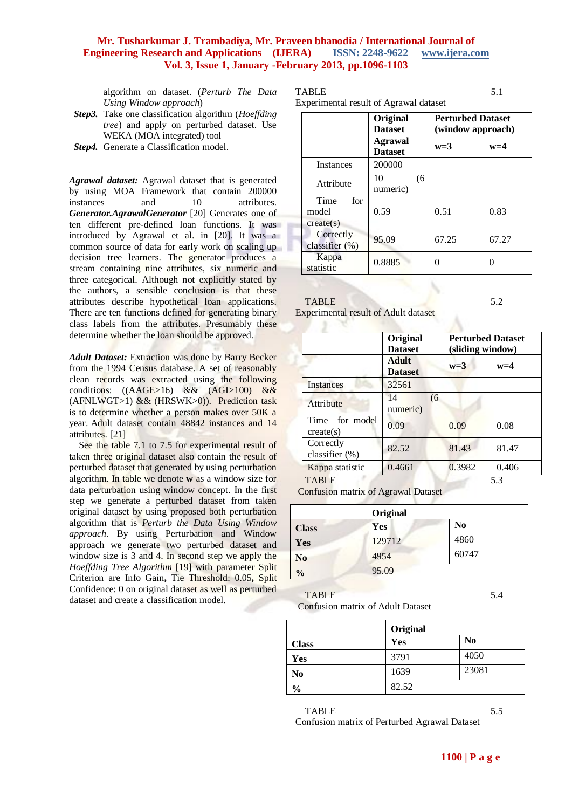algorithm on dataset. (*Perturb The Data Using Window approach*)

- *Step3.* Take one classification algorithm (*Hoeffding tree*) and apply on perturbed dataset. Use WEKA (MOA integrated) tool
- *Step4.* Generate a Classification model.

*Agrawal dataset:* Agrawal dataset that is generated by using MOA Framework that contain 200000 instances and 10 attributes. *Generator.AgrawalGenerator* [20] Generates one of ten different pre-defined loan functions. It was introduced by Agrawal et al. in [20]. It was a common source of data for early work on scaling up decision tree learners. The generator produces a stream containing nine attributes, six numeric and three categorical. Although not explicitly stated by the authors, a sensible conclusion is that these attributes describe hypothetical loan applications. There are ten functions defined for generating binary class labels from the attributes. Presumably these determine whether the loan should be approved.

*Adult Dataset:* Extraction was done by Barry Becker from the 1994 Census database. A set of reasonably clean records was extracted using the following conditions: ((AAGE>16) && (AGI>100) && (AFNLWGT>1)  $&&$  (HRSWK>0)). Prediction task is to determine whether a person makes over 50K a year. Adult dataset contain 48842 instances and 14 attributes. [21]

See the table 7.1 to 7.5 for experimental result of taken three original dataset also contain the result of perturbed dataset that generated by using perturbation algorithm. In table we denote **w** as a window size for data perturbation using window concept. In the first step we generate a perturbed dataset from taken original dataset by using proposed both perturbation algorithm that is *Perturb the Data Using Window approach*. By using Perturbation and Window approach we generate two perturbed dataset and window size is 3 and 4. In second step we apply the *Hoeffding Tree Algorithm* [19] with parameter Split Criterion are Info Gain**,** Tie Threshold: 0.05**,** Split Confidence: 0 on original dataset as well as perturbed dataset and create a classification model.

TABLE 5.1

Experimental result of

| rimental result of Agrawal dataset |                                  |    |                                               |       |
|------------------------------------|----------------------------------|----|-----------------------------------------------|-------|
|                                    | Original<br><b>Dataset</b>       |    | <b>Perturbed Dataset</b><br>(window approach) |       |
|                                    | <b>Agrawal</b><br><b>Dataset</b> |    | $w=3$                                         | $w=4$ |
| Instances                          | 200000                           |    |                                               |       |
| Attribute                          | 10<br>numeric)                   | (6 |                                               |       |
| $T_{ima}$                          |                                  |    |                                               |       |

0.59 | 0.51 | 0.83

classifier (%) 95.09 67.25 67.27

 $\begin{array}{c|c}\n\text{Kappa} & 0.8885 \\
\text{statistic} & 0.8885\n\end{array}$ 

| <b>TABLE</b> | 5.2 |
|--------------|-----|

 $\sim$ 

model create(s)

Time for

**Correctly** 

Kappa

Experimental result of Adult dataset

|                             | Original<br><b>Dataset</b>     | (sliding window) | <b>Perturbed Dataset</b> |
|-----------------------------|--------------------------------|------------------|--------------------------|
|                             | <b>Adult</b><br><b>Dataset</b> | $w=3$            | $w=4$                    |
| Instances                   | 32561                          |                  |                          |
| Attribute                   | 14<br>(6)<br>numeric)          |                  |                          |
| Time for model<br>create(s) | 0.09                           | 0.09             | 0.08                     |
| Correctly<br>classifier (%) | 82.52                          | 81.43            | 81.47                    |
| Kappa statistic             | 0.4661                         | 0.3982           | 0.406                    |
| TABLE                       |                                |                  | 5.3                      |

Confusion matrix of Agrawal Dataset

|                | Original |                |  |
|----------------|----------|----------------|--|
| <b>Class</b>   | Yes      | N <sub>0</sub> |  |
| Yes            | 129712   | 4860           |  |
| N <sub>0</sub> | 4954     | 60747          |  |
| $\frac{0}{0}$  | 95.09    |                |  |

TABLE 5.4

Confusion matrix of Adult Dataset

|               | Original |                |
|---------------|----------|----------------|
| <b>Class</b>  | Yes      | N <sub>0</sub> |
| Yes           | 3791     | 4050           |
| $\bf No$      | 1639     | 23081          |
| $\frac{0}{0}$ | 82.52    |                |

TABLE 5.5 Confusion matrix of Perturbed Agrawal Dataset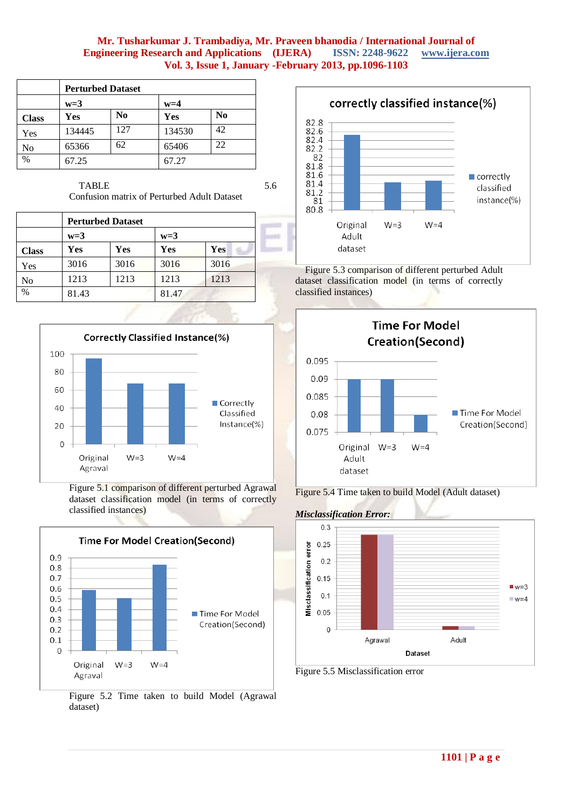|              | <b>Perturbed Dataset</b> |                |        |                |  |
|--------------|--------------------------|----------------|--------|----------------|--|
|              | $w=3$                    |                | $w=4$  |                |  |
| <b>Class</b> | Yes                      | N <sub>0</sub> | Yes    | N <sub>0</sub> |  |
| Yes          | 134445                   | 127            | 134530 | 42             |  |
| No           | 65366                    | 62             | 65406  | 22             |  |
| $\%$         | 67.25                    |                | 67.27  |                |  |

TABLE 5.6

Confusion matrix of Perturbed Adult Dataset

|              |       | <b>Perturbed Dataset</b> |       |      |  |  |
|--------------|-------|--------------------------|-------|------|--|--|
|              | $w=3$ |                          | $w=3$ |      |  |  |
| <b>Class</b> | Yes   | Yes                      | Yes   | Yes  |  |  |
| Yes          | 3016  | 3016                     | 3016  | 3016 |  |  |
| No           | 1213  | 1213                     | 1213  | 1213 |  |  |
| $\%$         | 81.43 |                          | 81.47 |      |  |  |



Figure 5.1 comparison of different perturbed Agrawal dataset classification model (in terms of correctly classified instances)







Figure 5.3 comparison of different perturbed Adult dataset classification model (in terms of correctly classified instances)









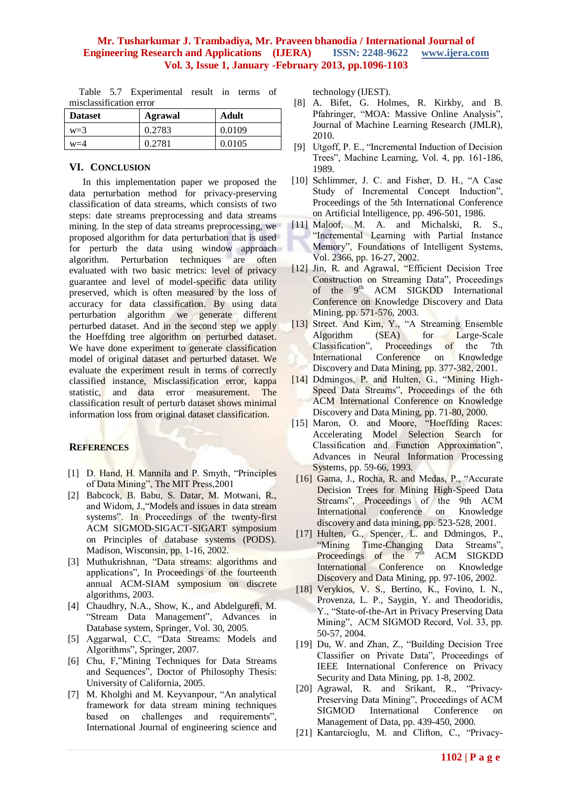Table 5.7 Experimental result in terms of misclassification error

| <b>Dataset</b> | Agrawal | Adult  |
|----------------|---------|--------|
| $w=3$          | 0.2783  | 0.0109 |
| $w=4$          | 0.2781  | 0.0105 |

#### **VI. CONCLUSION**

In this implementation paper we proposed the data perturbation method for privacy-preserving classification of data streams, which consists of two steps: date streams preprocessing and data streams mining. In the step of data streams preprocessing, we proposed algorithm for data perturbation that is used for perturb the data using window approach algorithm. Perturbation techniques are often evaluated with two basic metrics: level of privacy guarantee and level of model-specific data utility preserved, which is often measured by the loss of accuracy for data classification. By using data perturbation algorithm we generate different perturbed dataset. And in the second step we apply the Hoeffding tree algorithm on perturbed dataset. We have done experiment to generate classification model of original dataset and perturbed dataset. We evaluate the experiment result in terms of correctly classified instance, Misclassification error, kappa statistic, and data error measurement. The classification result of perturb dataset shows minimal information loss from original dataset classification.

## **REFERENCES**

- [1] D. Hand, H. Mannila and P. Smyth, "Principles" of Data Mining", The MIT Press,2001
- [2] Babcock, B. Babu, S. Datar, M. Motwani, R., and Widom, J.,"Models and issues in data stream systems". In Proceedings of the twenty-first ACM SIGMOD-SIGACT-SIGART symposium on Principles of database systems (PODS). Madison, Wisconsin, pp. 1-16, 2002.
- [3] Muthukrishnan, "Data streams: algorithms and applications", In Proceedings of the fourteenth annual ACM-SIAM symposium on discrete algorithms, 2003.
- [4] Chaudhry, N.A., Show, K., and Abdelgurefi, M. "Stream Data Management", Advances in Database system, Springer, Vol. 30, 2005.
- [5] Aggarwal, C.C, "Data Streams: Models and Algorithms", Springer, 2007.
- [6] Chu, F,"Mining Techniques for Data Streams and Sequences", Doctor of Philosophy Thesis: University of California, 2005.
- [7] M. Kholghi and M. Keyvanpour, "An analytical framework for data stream mining techniques based on challenges and requirements", International Journal of engineering science and

technology (IJEST).

- [8] A. Bifet, G. Holmes, R. Kirkby, and B. Pfahringer, "MOA: Massive Online Analysis", Journal of Machine Learning Research (JMLR), 2010.
- [9] Utgoff, P. E., "Incremental Induction of Decision Trees", Machine Learning, Vol. 4, pp. 161-186, 1989.
- [10] Schlimmer, J. C. and Fisher, D. H., "A Case Study of Incremental Concept Induction", Proceedings of the 5th International Conference on Artificial Intelligence, pp. 496-501, 1986.
- [11] Maloof, M. A. and Michalski, R. S., "Incremental Learning with Partial Instance Memory", Foundations of Intelligent Systems, Vol. 2366, pp. 16-27, 2002.
- [12] Jin, R. and Agrawal, "Efficient Decision Tree Construction on Streaming Data", Proceedings of the 9<sup>th</sup> ACM SIGKDD International Conference on Knowledge Discovery and Data Mining, pp. 571-576, 2003.
- [13] Street. And Kim, Y., "A Streaming Ensemble Algorithm (SEA) for Large-Scale Classification", Proceedings of the 7th International Conference on Knowledge Discovery and Data Mining, pp. 377-382, 2001.
- [14] Ddmingos, P. and Hulten, G., "Mining High-Speed Data Streams", Proceedings of the 6th ACM International Conference on Knowledge Discovery and Data Mining, pp. 71-80, 2000.
- [15] Maron, O. and Moore, "Hoeffding Races: Accelerating Model Selection Search for Classification and Function Approximation", Advances in Neural Information Processing Systems, pp. 59-66, 1993.
- [16] Gama, J., Rocha, R. and Medas, P., "Accurate Decision Trees for Mining High-Speed Data Streams", Proceedings of the 9th ACM International conference on Knowledge discovery and data mining, pp. 523-528, 2001.
- [17] Hulten, G., Spencer, L. and Ddmingos, P., "Mining Time-Changing Data Streams", Proceedings of the  $7<sup>th</sup>$  ACM SIGKDD International Conference on Knowledge Discovery and Data Mining, pp. 97-106, 2002.
- [18] Verykios, V. S., Bertino, K., Fovino, I. N., Provenza, L. P., Saygin, Y. and Theodoridis, Y., "State-of-the-Art in Privacy Preserving Data Mining", ACM SIGMOD Record, Vol. 33, pp. 50-57, 2004.
- [19] Du, W. and Zhan, Z., "Building Decision Tree Classifier on Private Data", Proceedings of IEEE International Conference on Privacy Security and Data Mining, pp. 1-8, 2002.
- [20] Agrawal, R. and Srikant, R., "Privacy-Preserving Data Mining", Proceedings of ACM SIGMOD International Conference on Management of Data, pp. 439-450, 2000.
- [21] Kantarcioglu, M. and Clifton, C., "Privacy-